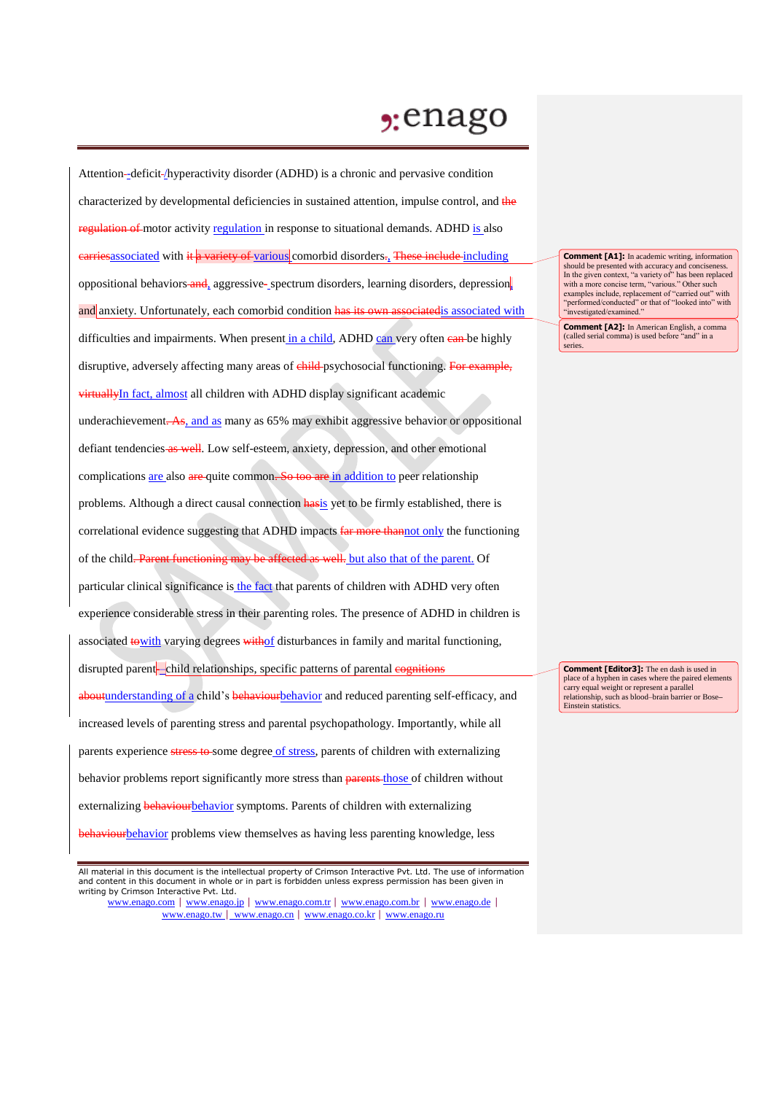## $2:$ enago

Attention--deficit-/hyperactivity disorder (ADHD) is a chronic and pervasive condition characterized by developmental deficiencies in sustained attention, impulse control, and the regulation of motor activity regulation in response to situational demands. ADHD is also earriesassociated with it a variety of various comorbid disorders. These include including oppositional behaviors and, aggressive- spectrum disorders, learning disorders, depression, and anxiety. Unfortunately, each comorbid condition has its own associated is associated with difficulties and impairments. When present in a child, ADHD can very often ean-be highly disruptive, adversely affecting many areas of child psychosocial functioning. For example, virtuallyIn fact, almost all children with ADHD display significant academic underachievement.  $\overline{As}$ , and as many as 65% may exhibit aggressive behavior or oppositional defiant tendencies as well. Low self-esteem, anxiety, depression, and other emotional complications are also are quite common. So too are in addition to peer relationship problems. Although a direct causal connection hasis yet to be firmly established, there is correlational evidence suggesting that ADHD impacts far more thannot only the functioning of the child. Parent functioning may be affected as well. but also that of the parent. Of particular clinical significance is the fact that parents of children with ADHD very often experience considerable stress in their parenting roles. The presence of ADHD in children is associated to with varying degrees withof disturbances in family and marital functioning, disrupted parent-child relationships, specific patterns of parental cognitions aboutunderstanding of a child's behaviourbehavior and reduced parenting self-efficacy, and increased levels of parenting stress and parental psychopathology. Importantly, while all parents experience stress to some degree of stress, parents of children with externalizing behavior problems report significantly more stress than parents those of children without externalizing behaviourbehavior symptoms. Parents of children with externalizing behaviourbehavior problems view themselves as having less parenting knowledge, less

www.enago.com | www.enago.jp | www.enago.com.tr | www.enago.com.br | www.enago.de | www.enago.tw | www.enago.cn | www.enago.co.kr | www.enago.ru

**Comment [A1]:** In academic writing, information should be presented with accuracy and concisenes In the given context, "a variety of" has been replaced with a more concise term, "various." Other such examples include, replacement of "carried out" with "performed/conducted" or that of "looked into" with "investigated/examined."

**Comment [A2]:** In American English, a comma (called serial comma) is used before "and" in a series.

**Comment [Editor3]:** The en dash is used in place of a hyphen in cases where the paired elements carry equal weight or represent a parallel relationship, such as blood–brain barrier or Bose**–** Einstein statistics.

All material in this document is the intellectual property of Crimson Interactive Pvt. Ltd. The use of information and content in this document in whole or in part is forbidden unless express permission has been given in writing by Crimson Interactive Pvt. Ltd.